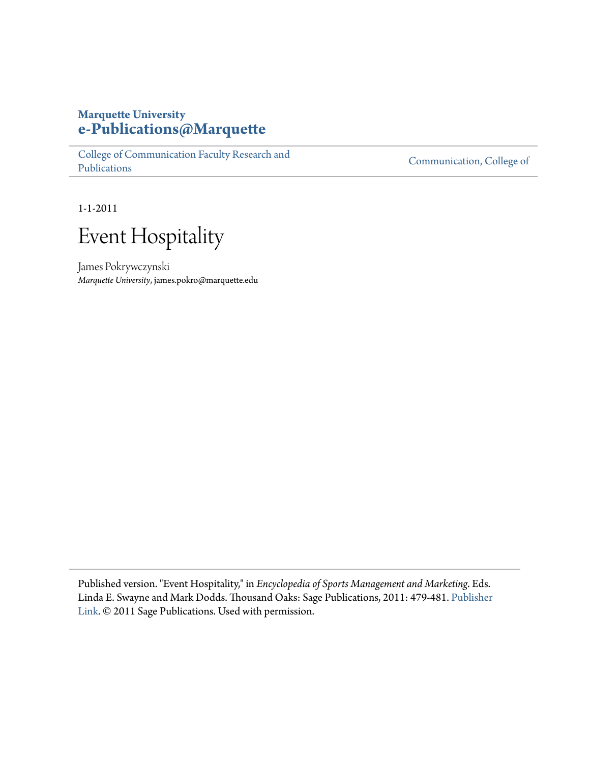### **Marquette University [e-Publications@Marquette](https://epublications.marquette.edu)**

[College of Communication Faculty Research and](https://epublications.marquette.edu/comm_fac) [Publications](https://epublications.marquette.edu/comm_fac)

[Communication, College of](https://epublications.marquette.edu/communication)

1-1-2011

# Event Hospitality

James Pokrywczynski *Marquette University*, james.pokro@marquette.edu

Published version. "Event Hospitality," in *Encyclopedia of Sports Management and Marketing*. Eds. Linda E. Swayne and Mark Dodds. Thousand Oaks: Sage Publications, 2011: 479-481. [Publisher](https://us.sagepub.com/en-us/nam/encyclopedia-of-sports-management-and-marketing/book230738) [Link.](https://us.sagepub.com/en-us/nam/encyclopedia-of-sports-management-and-marketing/book230738) © 2011 Sage Publications. Used with permission.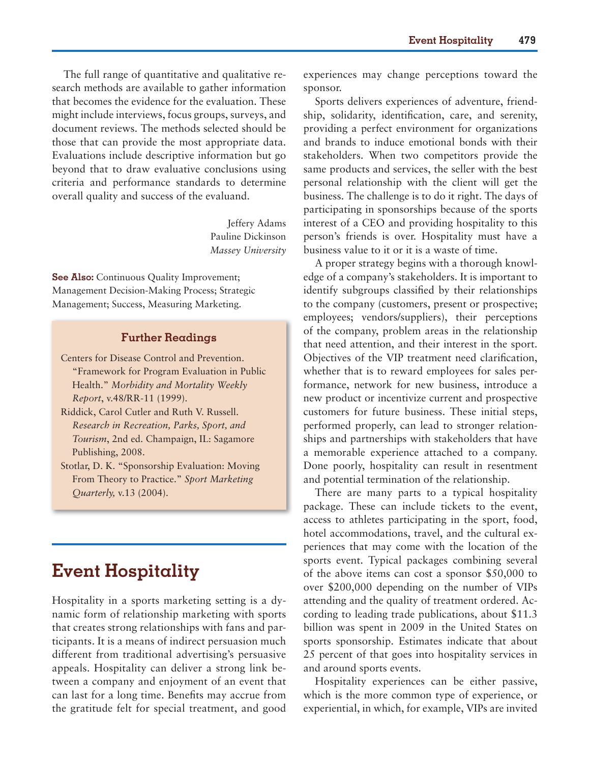The full range of quantitative and qualitative research methods are available to gather information that becomes the evidence for the evaluation. These might include interviews, focus groups, surveys, and document reviews. The methods selected should be those that can provide the most appropriate data. Evaluations include descriptive information but go beyond that to draw evaluative conclusions using criteria and performance standards to determine overall quality and success of the evaluand.

> Jeffery Adams Pauline Dickinson *Massey University*

**See Also:** Continuous Quality Improvement; Management Decision-Making Process; Strategic Management; Success, Measuring Marketing.

#### **Further Readings**

Centers for Disease Control and Prevention. "Framework for Program Evaluation in Public Health." *Morbidity and Mortality Weekly Report*, v.48/RR-11 (1999).

- Riddick, Carol Cutler and Ruth V. Russell. *Research in Recreation, Parks, Sport, and Tourism*, 2nd ed. Champaign, IL: Sagamore Publishing, 2008.
- Stotlar, D. K. "Sponsorship Evaluation: Moving From Theory to Practice." *Sport Marketing Quarterly,* v.13 (2004).

## **Event Hospitality**

Hospitality in a sports marketing setting is a dynamic form of relationship marketing with sports that creates strong relationships with fans and participants. It is a means of indirect persuasion much different from traditional advertising's persuasive appeals. Hospitality can deliver a strong link between a company and enjoyment of an event that can last for a long time. Benefits may accrue from the gratitude felt for special treatment, and good experiences may change perceptions toward the sponsor.

Sports delivers experiences of adventure, friendship, solidarity, identification, care, and serenity, providing a perfect environment for organizations and brands to induce emotional bonds with their stakeholders. When two competitors provide the same products and services, the seller with the best personal relationship with the client will get the business. The challenge is to do it right. The days of participating in sponsorships because of the sports interest of a CEO and providing hospitality to this person's friends is over. Hospitality must have a business value to it or it is a waste of time.

A proper strategy begins with a thorough knowledge of a company's stakeholders. It is important to identify subgroups classified by their relationships to the company (customers, present or prospective; employees; vendors/suppliers), their perceptions of the company, problem areas in the relationship that need attention, and their interest in the sport. Objectives of the VIP treatment need clarification, whether that is to reward employees for sales performance, network for new business, introduce a new product or incentivize current and prospective customers for future business. These initial steps, performed properly, can lead to stronger relationships and partnerships with stakeholders that have a memorable experience attached to a company. Done poorly, hospitality can result in resentment and potential termination of the relationship.

There are many parts to a typical hospitality package. These can include tickets to the event, access to athletes participating in the sport, food, hotel accommodations, travel, and the cultural experiences that may come with the location of the sports event. Typical packages combining several of the above items can cost a sponsor \$50,000 to over \$200,000 depending on the number of VIPs attending and the quality of treatment ordered. According to leading trade publications, about \$11.3 billion was spent in 2009 in the United States on sports sponsorship. Estimates indicate that about 25 percent of that goes into hospitality services in and around sports events.

Hospitality experiences can be either passive, which is the more common type of experience, or experiential, in which, for example, VIPs are invited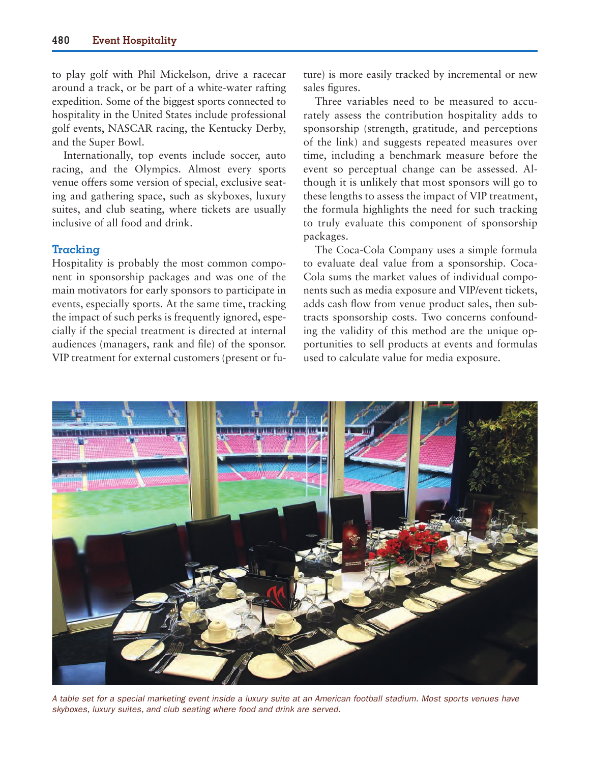to play golf with Phil Mickelson, drive a racecar around a track, or be part of a white-water rafting expedition. Some of the biggest sports connected to hospitality in the United States include professional golf events, NASCAR racing, the Kentucky Derby, and the Super Bowl.

Internationally, top events include soccer, auto racing, and the Olympics. Almost every sports venue offers some version of special, exclusive seating and gathering space, such as skyboxes, luxury suites, and club seating, where tickets are usually inclusive of all food and drink.

#### **Tracking**

Hospitality is probably the most common component in sponsorship packages and was one of the main motivators for early sponsors to participate in events, especially sports. At the same time, tracking the impact of such perks is frequently ignored, especially if the special treatment is directed at internal audiences (managers, rank and file) of the sponsor. VIP treatment for external customers (present or future) is more easily tracked by incremental or new sales figures.

Three variables need to be measured to accurately assess the contribution hospitality adds to sponsorship (strength, gratitude, and perceptions of the link) and suggests repeated measures over time, including a benchmark measure before the event so perceptual change can be assessed. Although it is unlikely that most sponsors will go to these lengths to assess the impact of VIP treatment, the formula highlights the need for such tracking to truly evaluate this component of sponsorship packages.

The Coca-Cola Company uses a simple formula to evaluate deal value from a sponsorship. Coca-Cola sums the market values of individual components such as media exposure and VIP/event tickets, adds cash flow from venue product sales, then subtracts sponsorship costs. Two concerns confounding the validity of this method are the unique opportunities to sell products at events and formulas used to calculate value for media exposure.



*A table set for a special marketing event inside a luxury suite at an American football stadium. Most sports venues have skyboxes, luxury suites, and club seating where food and drink are served.*